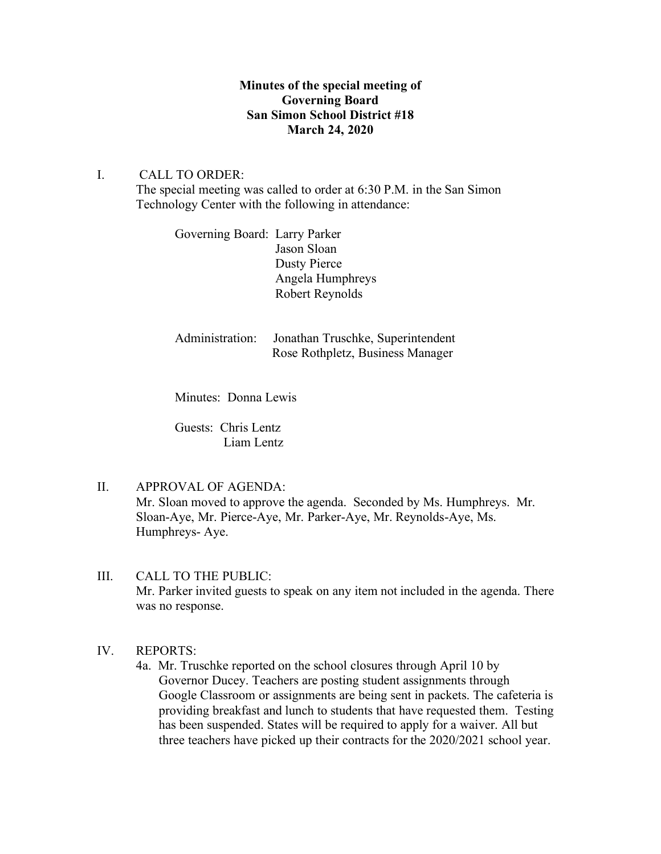## **Minutes of the special meeting of Governing Board San Simon School District #18 March 24, 2020**

I. CALL TO ORDER: The special meeting was called to order at 6:30 P.M. in the San Simon Technology Center with the following in attendance:

> Governing Board: Larry Parker Jason Sloan Dusty Pierce Angela Humphreys Robert Reynolds

Administration: Jonathan Truschke, Superintendent Rose Rothpletz, Business Manager

Minutes: Donna Lewis

Guests: Chris Lentz Liam Lentz

II. APPROVAL OF AGENDA:

Mr. Sloan moved to approve the agenda. Seconded by Ms. Humphreys. Mr. Sloan-Aye, Mr. Pierce-Aye, Mr. Parker-Aye, Mr. Reynolds-Aye, Ms. Humphreys- Aye.

- III. CALL TO THE PUBLIC: Mr. Parker invited guests to speak on any item not included in the agenda. There was no response.
- IV. REPORTS:
	- 4a. Mr. Truschke reported on the school closures through April 10 by Governor Ducey. Teachers are posting student assignments through Google Classroom or assignments are being sent in packets. The cafeteria is providing breakfast and lunch to students that have requested them. Testing has been suspended. States will be required to apply for a waiver. All but three teachers have picked up their contracts for the 2020/2021 school year.